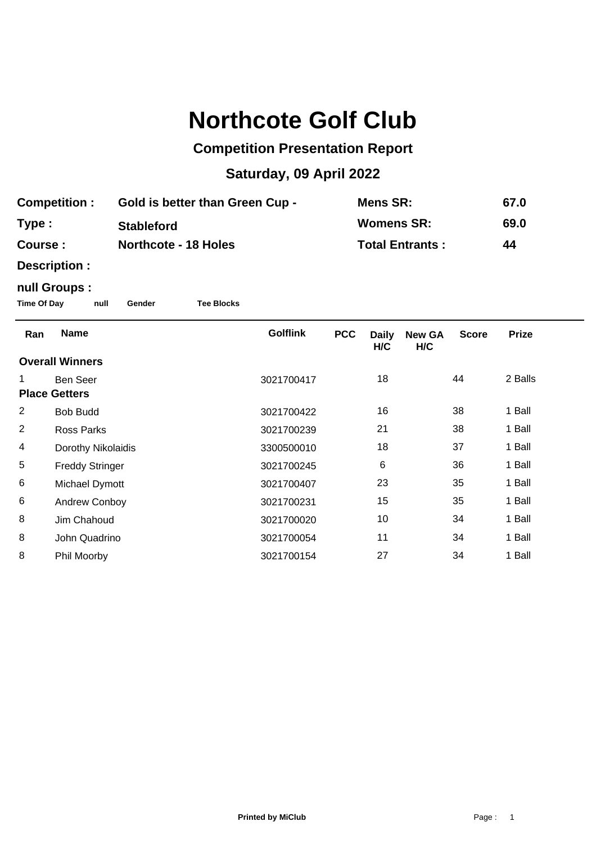# **Northcote Golf Club**

## **Competition Presentation Report**

## **Saturday, 09 April 2022**

| <b>Competition:</b> | <b>Gold is better than Green Cup -</b> | Mens SR:               | 67.0 |
|---------------------|----------------------------------------|------------------------|------|
| Type :              | <b>Stableford</b>                      | Womens SR:             | 69.0 |
| <b>Course :</b>     | <b>Northcote - 18 Holes</b>            | <b>Total Entrants:</b> | 44   |

**Description :**

### **null Groups :**

**Time Of Day null Gender Tee Blocks**

| <b>Name</b>            | <b>Golflink</b> | <b>PCC</b> | <b>Daily</b><br>H/C | <b>New GA</b><br>H/C | <b>Score</b> | <b>Prize</b> |  |  |
|------------------------|-----------------|------------|---------------------|----------------------|--------------|--------------|--|--|
| <b>Overall Winners</b> |                 |            |                     |                      |              |              |  |  |
| Ben Seer               | 3021700417      |            | 18                  |                      | 44           | 2 Balls      |  |  |
| <b>Place Getters</b>   |                 |            |                     |                      |              |              |  |  |
| <b>Bob Budd</b>        | 3021700422      |            | 16                  |                      | 38           | 1 Ball       |  |  |
| Ross Parks             | 3021700239      |            | 21                  |                      | 38           | 1 Ball       |  |  |
| Dorothy Nikolaidis     | 3300500010      |            | 18                  |                      | 37           | 1 Ball       |  |  |
| <b>Freddy Stringer</b> | 3021700245      |            | 6                   |                      | 36           | 1 Ball       |  |  |
| Michael Dymott         | 3021700407      |            | 23                  |                      | 35           | 1 Ball       |  |  |
| Andrew Conboy          | 3021700231      |            | 15                  |                      | 35           | 1 Ball       |  |  |
| Jim Chahoud            | 3021700020      |            | 10                  |                      | 34           | 1 Ball       |  |  |
| John Quadrino          | 3021700054      |            | 11                  |                      | 34           | 1 Ball       |  |  |
| Phil Moorby            | 3021700154      |            | 27                  |                      | 34           | 1 Ball       |  |  |
|                        |                 |            |                     |                      |              |              |  |  |